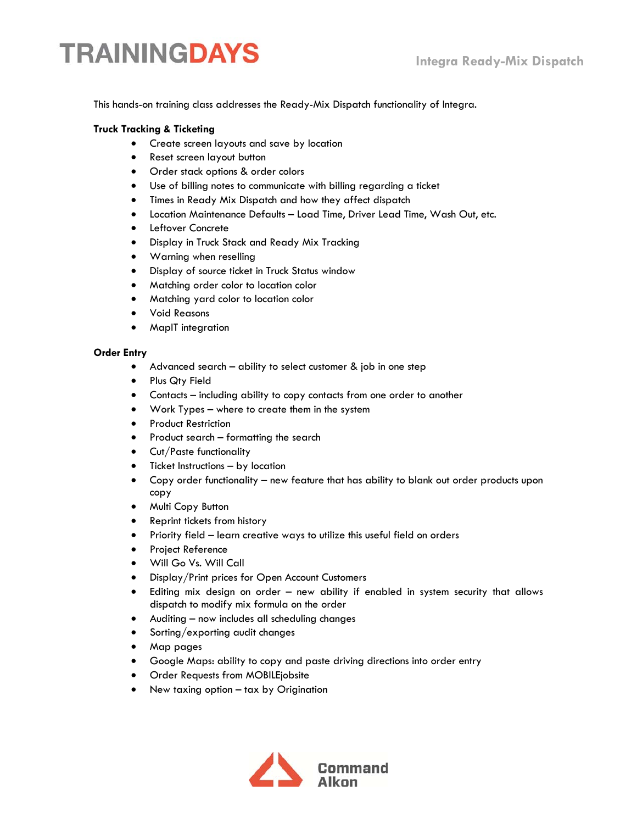# **TRAININGDAYS**

This hands-on training class addresses the Ready-Mix Dispatch functionality of Integra.

### **Truck Tracking & Ticketing**

- Create screen layouts and save by location
- Reset screen layout button
- Order stack options & order colors
- Use of billing notes to communicate with billing regarding a ticket
- Times in Ready Mix Dispatch and how they affect dispatch
- Location Maintenance Defaults Load Time, Driver Lead Time, Wash Out, etc.
- Leftover Concrete
- Display in Truck Stack and Ready Mix Tracking
- Warning when reselling
- Display of source ticket in Truck Status window
- Matching order color to location color
- Matching yard color to location color
- Void Reasons
- MapIT integration

#### **Order Entry**

- Advanced search ability to select customer & job in one step
- Plus Qty Field
- Contacts including ability to copy contacts from one order to another
- Work Types where to create them in the system
- **•** Product Restriction
- Product search formatting the search
- Cut/Paste functionality
- Ticket Instructions by location
- Copy order functionality new feature that has ability to blank out order products upon copy
- Multi Copy Button
- Reprint tickets from history
- Priority field learn creative ways to utilize this useful field on orders
- **•** Project Reference
- Will Go Vs. Will Call
- Display/Print prices for Open Account Customers
- Editing mix design on order new ability if enabled in system security that allows dispatch to modify mix formula on the order
- Auditing now includes all scheduling changes
- Sorting/exporting audit changes
- Map pages
- Google Maps: ability to copy and paste driving directions into order entry
- Order Requests from MOBILEjobsite
- New taxing option tax by Origination